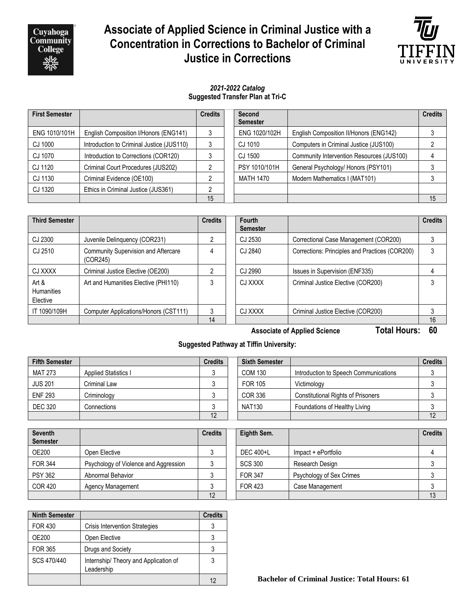

# **Associate of Applied Science in Criminal Justice with a Concentration in Corrections to Bachelor of Criminal Justice in Corrections**



#### *2021-2022 Catalog* **Suggested Transfer Plan at Tri-C**

| <b>First Semester</b> |                                           | <b>Credits</b> | Second<br><b>Semester</b> |                                           | <b>Credits</b> |
|-----------------------|-------------------------------------------|----------------|---------------------------|-------------------------------------------|----------------|
| ENG 1010/101H         | English Composition I/Honors (ENG141)     |                | ENG 1020/102H             | English Composition II/Honors (ENG142)    |                |
| CJ 1000               | Introduction to Criminal Justice (JUS110) |                | CJ 1010                   | Computers in Criminal Justice (JUS100)    |                |
| CJ 1070               | Introduction to Corrections (COR120)      |                | CJ 1500                   | Community Intervention Resources (JUS100) |                |
| CJ 1120               | Criminal Court Procedures (JUS202)        |                | PSY 1010/101H             | General Psychology/ Honors (PSY101)       |                |
| CJ 1130               | Criminal Evidence (OE100)                 |                | <b>MATH 1470</b>          | Modern Mathematics I (MAT101)             |                |
| CJ 1320               | Ethics in Criminal Justice (JUS361)       |                |                           |                                           |                |
|                       |                                           | 15             |                           |                                           | 15             |

| <b>Third Semester</b>                     |                                                 | <b>Credits</b> | <b>Fourth</b><br><b>Semester</b> |                                                | <b>Credits</b> |
|-------------------------------------------|-------------------------------------------------|----------------|----------------------------------|------------------------------------------------|----------------|
| CJ 2300                                   | Juvenile Delinquency (COR231)                   |                | CJ 2530                          | Correctional Case Management (COR200)          |                |
| CJ 2510                                   | Community Supervision and Aftercare<br>(COR245) |                | CJ 2840                          | Corrections: Principles and Practices (COR200) | 3              |
| CJ XXXX                                   | Criminal Justice Elective (OE200)               |                | CJ 2990                          | Issues in Supervision (ENF335)                 |                |
| Art $\&$<br><b>Humanities</b><br>Elective | Art and Humanities Elective (PHI110)            |                | CJ XXXX                          | Criminal Justice Elective (COR200)             |                |
| IT 1090/109H                              | Computer Applications/Honors (CST111)           |                | CJ XXXX                          | Criminal Justice Elective (COR200)             |                |
|                                           |                                                 | 14             |                                  |                                                | 16             |

**Associate of Applied Science Total Hours: 60**

## **Suggested Pathway at Tiffin University:**

| <b>Fifth Semester</b> |                             | <b>Credits</b> | <b>Sixth Semester</b> |                                           | <b>Credits</b> |
|-----------------------|-----------------------------|----------------|-----------------------|-------------------------------------------|----------------|
| <b>MAT 273</b>        | <b>Applied Statistics I</b> |                | <b>COM 130</b>        | Introduction to Speech Communications     |                |
| <b>JUS 201</b>        | Criminal Law                |                | FOR 105               | Victimology                               |                |
| <b>ENF 293</b>        | Criminology                 |                | <b>COR 336</b>        | <b>Constitutional Rights of Prisoners</b> |                |
| <b>DEC 320</b>        | Connections                 |                | <b>NAT130</b>         | Foundations of Healthy Living             |                |
|                       |                             | 12             |                       |                                           | 12             |

| <b>Seventh</b><br><b>Semester</b> |                                       | <b>Credits</b> | Eighth Sem.    |                          | <b>Credits</b> |
|-----------------------------------|---------------------------------------|----------------|----------------|--------------------------|----------------|
| <b>OE200</b>                      | Open Elective                         |                | DEC 400+L      | Impact + ePortfolio      |                |
| <b>FOR 344</b>                    | Psychology of Violence and Aggression |                | <b>SCS 300</b> | Research Design          |                |
| <b>PSY 362</b>                    | Abnormal Behavior                     |                | <b>FOR 347</b> | Psychology of Sex Crimes |                |
| <b>COR 420</b>                    | Agency Management                     |                | FOR 423        | Case Management          |                |
|                                   |                                       | 12             |                |                          | 13             |

| <b>Ninth Semester</b> |                                                     | <b>Credits</b> |
|-----------------------|-----------------------------------------------------|----------------|
| <b>FOR 430</b>        | <b>Crisis Intervention Strategies</b>               |                |
| <b>OE200</b>          | Open Elective                                       |                |
| <b>FOR 365</b>        | Drugs and Society                                   | 3              |
| SCS 470/440           | Internship/ Theory and Application of<br>Leadership | 3              |
|                       |                                                     | 12             |

12 **Bachelor of Criminal Justice: Total Hours: 61**